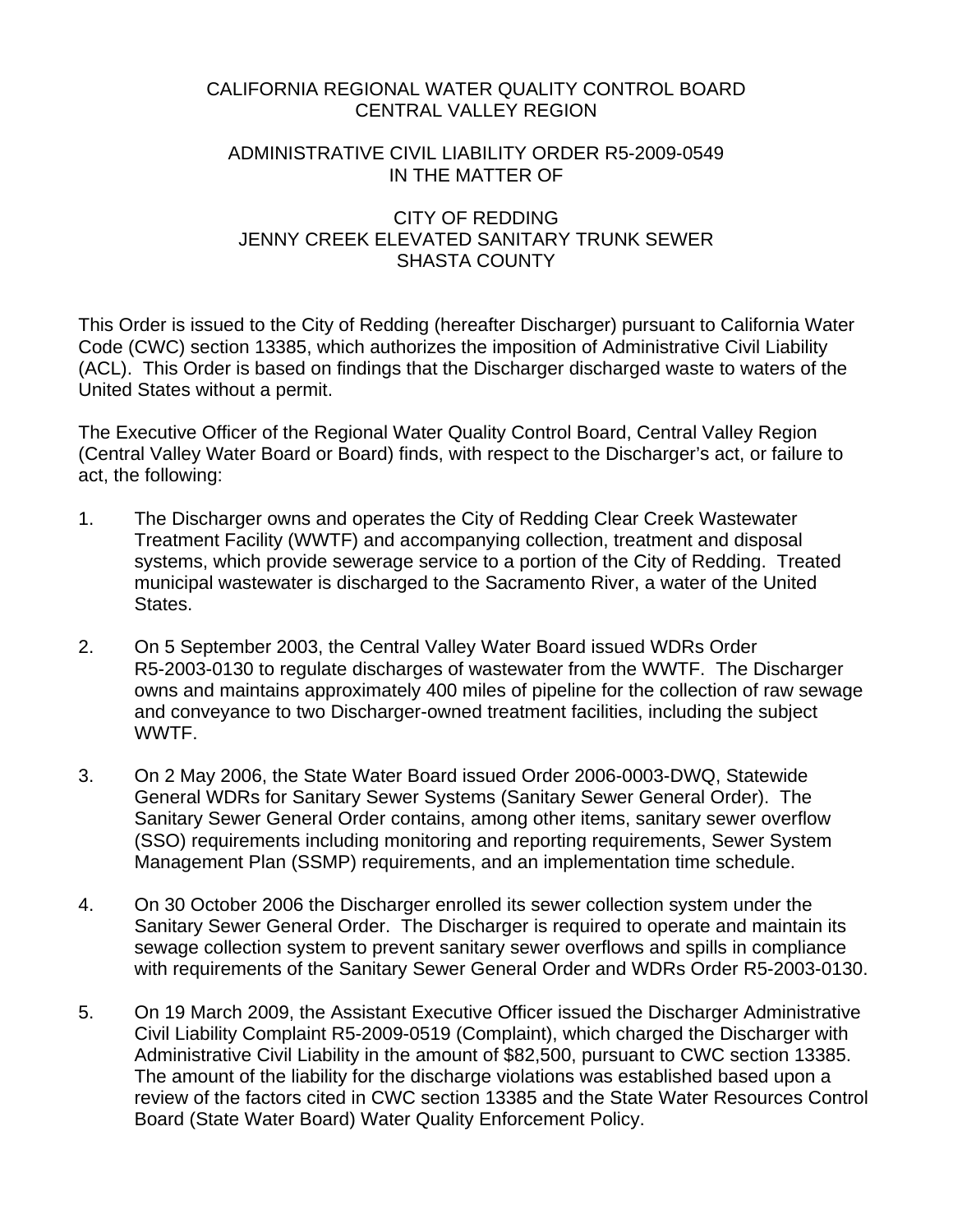## CALIFORNIA REGIONAL WATER QUALITY CONTROL BOARD CENTRAL VALLEY REGION

## ADMINISTRATIVE CIVIL LIABILITY ORDER R5-2009-0549 IN THE MATTER OF

## CITY OF REDDING JENNY CREEK ELEVATED SANITARY TRUNK SEWER SHASTA COUNTY

This Order is issued to the City of Redding (hereafter Discharger) pursuant to California Water Code (CWC) section 13385, which authorizes the imposition of Administrative Civil Liability (ACL). This Order is based on findings that the Discharger discharged waste to waters of the United States without a permit.

The Executive Officer of the Regional Water Quality Control Board, Central Valley Region (Central Valley Water Board or Board) finds, with respect to the Discharger's act, or failure to act, the following:

- 1. The Discharger owns and operates the City of Redding Clear Creek Wastewater Treatment Facility (WWTF) and accompanying collection, treatment and disposal systems, which provide sewerage service to a portion of the City of Redding. Treated municipal wastewater is discharged to the Sacramento River, a water of the United States.
- 2. On 5 September 2003, the Central Valley Water Board issued WDRs Order R5-2003-0130 to regulate discharges of wastewater from the WWTF. The Discharger owns and maintains approximately 400 miles of pipeline for the collection of raw sewage and conveyance to two Discharger-owned treatment facilities, including the subject WWTF.
- 3. On 2 May 2006, the State Water Board issued Order 2006-0003-DWQ, Statewide General WDRs for Sanitary Sewer Systems (Sanitary Sewer General Order). The Sanitary Sewer General Order contains, among other items, sanitary sewer overflow (SSO) requirements including monitoring and reporting requirements, Sewer System Management Plan (SSMP) requirements, and an implementation time schedule.
- 4. On 30 October 2006 the Discharger enrolled its sewer collection system under the Sanitary Sewer General Order. The Discharger is required to operate and maintain its sewage collection system to prevent sanitary sewer overflows and spills in compliance with requirements of the Sanitary Sewer General Order and WDRs Order R5-2003-0130.
- 5. On 19 March 2009, the Assistant Executive Officer issued the Discharger Administrative Civil Liability Complaint R5-2009-0519 (Complaint), which charged the Discharger with Administrative Civil Liability in the amount of \$82,500, pursuant to CWC section 13385. The amount of the liability for the discharge violations was established based upon a review of the factors cited in CWC section 13385 and the State Water Resources Control Board (State Water Board) Water Quality Enforcement Policy.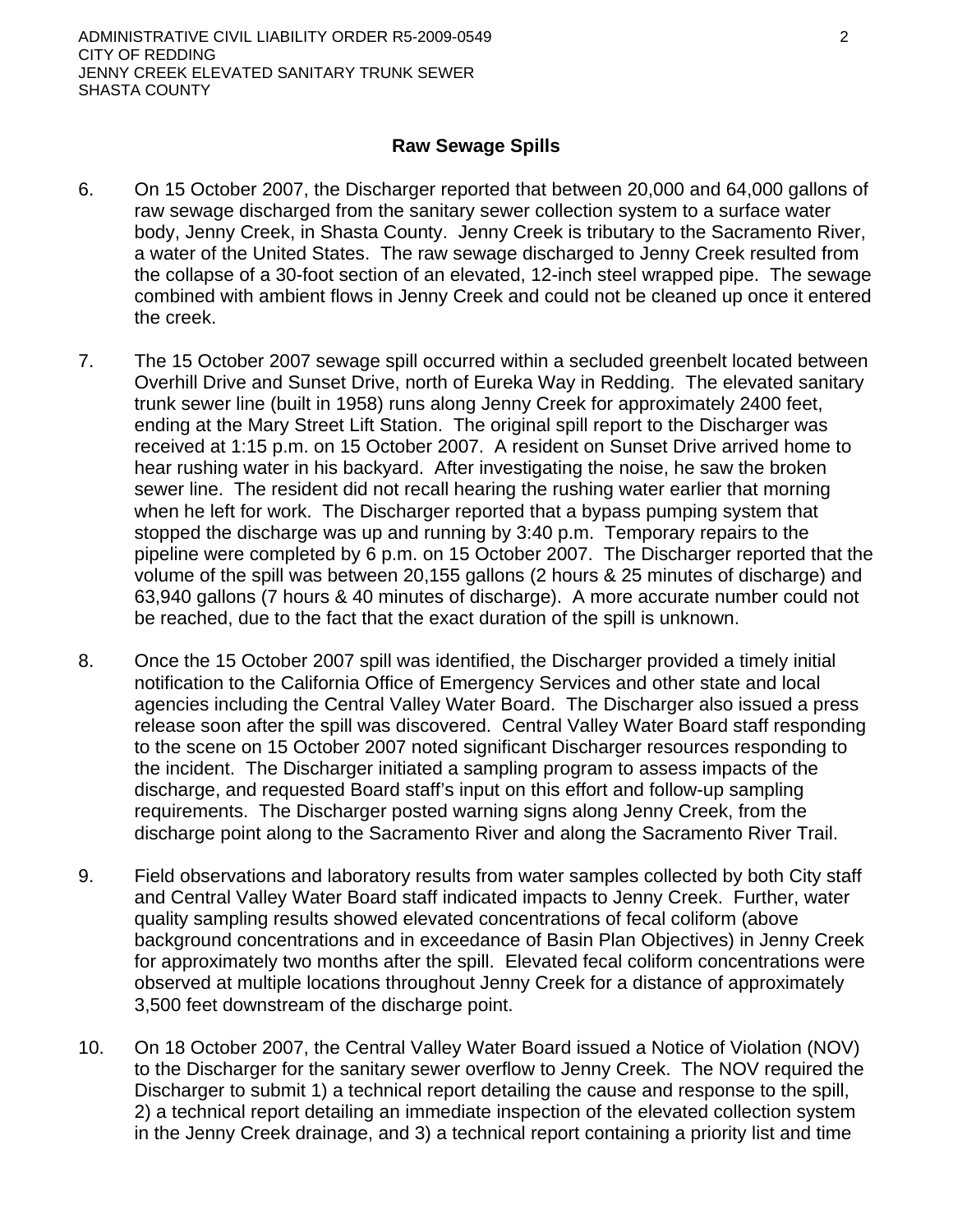## **Raw Sewage Spills**

- 6. On 15 October 2007, the Discharger reported that between 20,000 and 64,000 gallons of raw sewage discharged from the sanitary sewer collection system to a surface water body, Jenny Creek, in Shasta County. Jenny Creek is tributary to the Sacramento River, a water of the United States. The raw sewage discharged to Jenny Creek resulted from the collapse of a 30-foot section of an elevated, 12-inch steel wrapped pipe. The sewage combined with ambient flows in Jenny Creek and could not be cleaned up once it entered the creek.
- 7. The 15 October 2007 sewage spill occurred within a secluded greenbelt located between Overhill Drive and Sunset Drive, north of Eureka Way in Redding. The elevated sanitary trunk sewer line (built in 1958) runs along Jenny Creek for approximately 2400 feet, ending at the Mary Street Lift Station. The original spill report to the Discharger was received at 1:15 p.m. on 15 October 2007. A resident on Sunset Drive arrived home to hear rushing water in his backyard. After investigating the noise, he saw the broken sewer line. The resident did not recall hearing the rushing water earlier that morning when he left for work. The Discharger reported that a bypass pumping system that stopped the discharge was up and running by 3:40 p.m. Temporary repairs to the pipeline were completed by 6 p.m. on 15 October 2007. The Discharger reported that the volume of the spill was between 20,155 gallons (2 hours & 25 minutes of discharge) and 63,940 gallons (7 hours & 40 minutes of discharge). A more accurate number could not be reached, due to the fact that the exact duration of the spill is unknown.
- 8. Once the 15 October 2007 spill was identified, the Discharger provided a timely initial notification to the California Office of Emergency Services and other state and local agencies including the Central Valley Water Board. The Discharger also issued a press release soon after the spill was discovered. Central Valley Water Board staff responding to the scene on 15 October 2007 noted significant Discharger resources responding to the incident. The Discharger initiated a sampling program to assess impacts of the discharge, and requested Board staff's input on this effort and follow-up sampling requirements. The Discharger posted warning signs along Jenny Creek, from the discharge point along to the Sacramento River and along the Sacramento River Trail.
- 9. Field observations and laboratory results from water samples collected by both City staff and Central Valley Water Board staff indicated impacts to Jenny Creek. Further, water quality sampling results showed elevated concentrations of fecal coliform (above background concentrations and in exceedance of Basin Plan Objectives) in Jenny Creek for approximately two months after the spill. Elevated fecal coliform concentrations were observed at multiple locations throughout Jenny Creek for a distance of approximately 3,500 feet downstream of the discharge point.
- 10. On 18 October 2007, the Central Valley Water Board issued a Notice of Violation (NOV) to the Discharger for the sanitary sewer overflow to Jenny Creek. The NOV required the Discharger to submit 1) a technical report detailing the cause and response to the spill, 2) a technical report detailing an immediate inspection of the elevated collection system in the Jenny Creek drainage, and 3) a technical report containing a priority list and time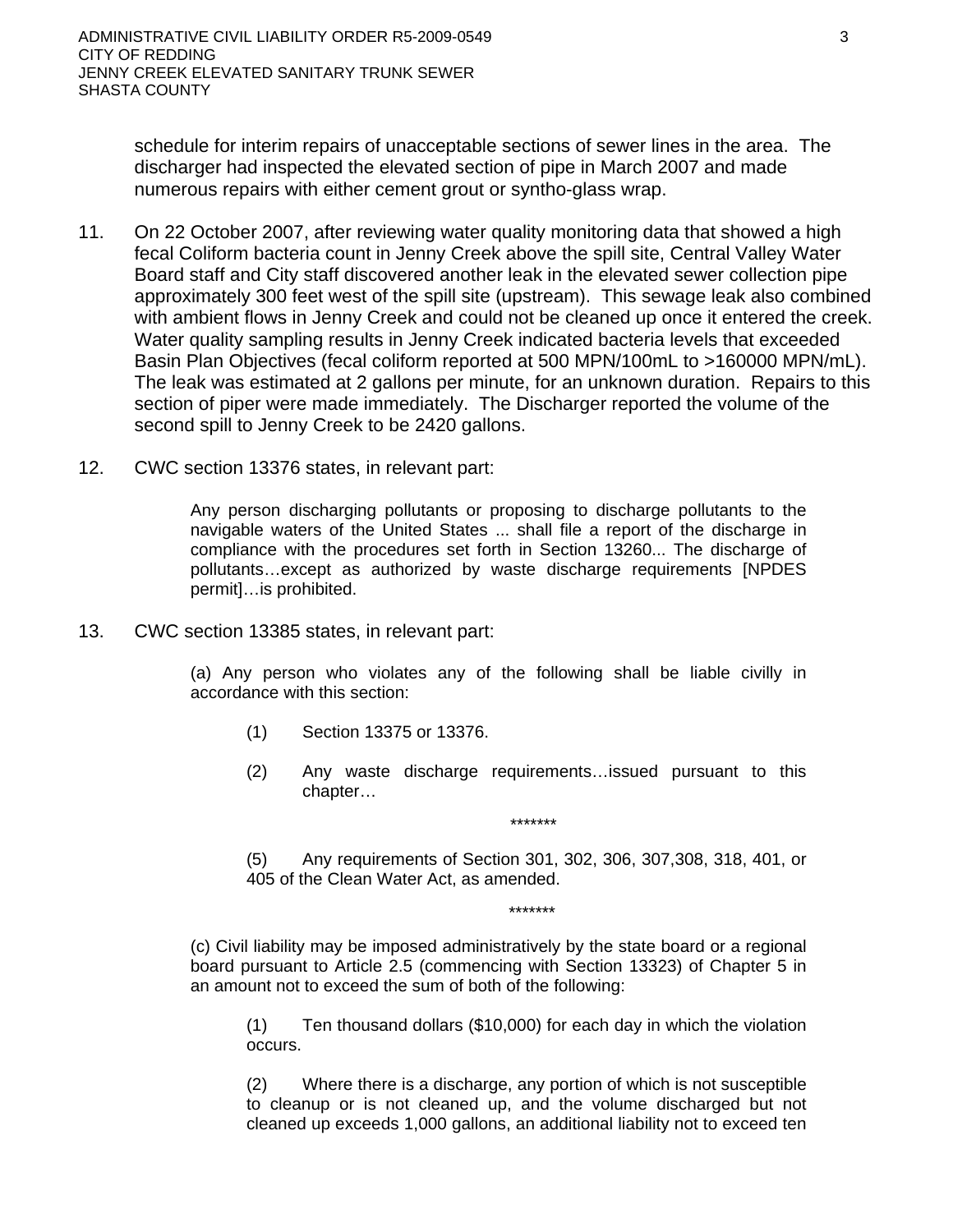schedule for interim repairs of unacceptable sections of sewer lines in the area. The discharger had inspected the elevated section of pipe in March 2007 and made numerous repairs with either cement grout or syntho-glass wrap.

- 11. On 22 October 2007, after reviewing water quality monitoring data that showed a high fecal Coliform bacteria count in Jenny Creek above the spill site, Central Valley Water Board staff and City staff discovered another leak in the elevated sewer collection pipe approximately 300 feet west of the spill site (upstream). This sewage leak also combined with ambient flows in Jenny Creek and could not be cleaned up once it entered the creek. Water quality sampling results in Jenny Creek indicated bacteria levels that exceeded Basin Plan Objectives (fecal coliform reported at 500 MPN/100mL to >160000 MPN/mL). The leak was estimated at 2 gallons per minute, for an unknown duration. Repairs to this section of piper were made immediately. The Discharger reported the volume of the second spill to Jenny Creek to be 2420 gallons.
- 12. CWC section 13376 states, in relevant part:

Any person discharging pollutants or proposing to discharge pollutants to the navigable waters of the United States ... shall file a report of the discharge in compliance with the procedures set forth in Section 13260... The discharge of pollutants…except as authorized by waste discharge requirements [NPDES permit]…is prohibited.

13. CWC section 13385 states, in relevant part:

(a) Any person who violates any of the following shall be liable civilly in accordance with this section:

- (1) Section 13375 or 13376.
- (2) Any waste discharge requirements…issued pursuant to this chapter…

\*\*\*\*\*\*\*

(5) Any requirements of Section 301, 302, 306, 307,308, 318, 401, or 405 of the Clean Water Act, as amended.

\*\*\*\*\*\*\*

(c) Civil liability may be imposed administratively by the state board or a regional board pursuant to Article 2.5 (commencing with Section 13323) of Chapter 5 in an amount not to exceed the sum of both of the following:

(1) Ten thousand dollars (\$10,000) for each day in which the violation occurs.

(2) Where there is a discharge, any portion of which is not susceptible to cleanup or is not cleaned up, and the volume discharged but not cleaned up exceeds 1,000 gallons, an additional liability not to exceed ten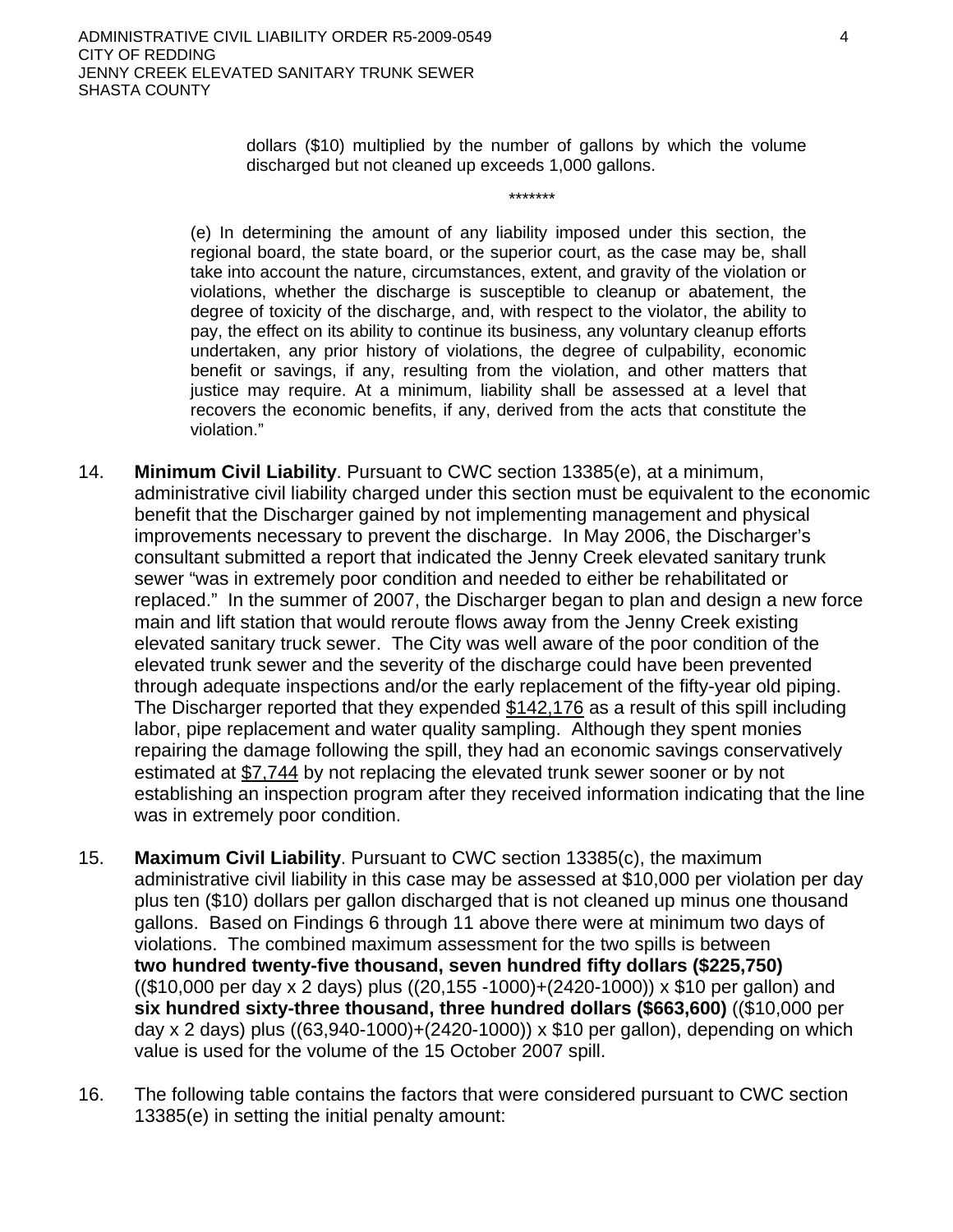dollars (\$10) multiplied by the number of gallons by which the volume discharged but not cleaned up exceeds 1,000 gallons.

\*\*\*\*\*\*\*

(e) In determining the amount of any liability imposed under this section, the regional board, the state board, or the superior court, as the case may be, shall take into account the nature, circumstances, extent, and gravity of the violation or violations, whether the discharge is susceptible to cleanup or abatement, the degree of toxicity of the discharge, and, with respect to the violator, the ability to pay, the effect on its ability to continue its business, any voluntary cleanup efforts undertaken, any prior history of violations, the degree of culpability, economic benefit or savings, if any, resulting from the violation, and other matters that justice may require. At a minimum, liability shall be assessed at a level that recovers the economic benefits, if any, derived from the acts that constitute the violation."

- 14. **Minimum Civil Liability**. Pursuant to CWC section 13385(e), at a minimum, administrative civil liability charged under this section must be equivalent to the economic benefit that the Discharger gained by not implementing management and physical improvements necessary to prevent the discharge. In May 2006, the Discharger's consultant submitted a report that indicated the Jenny Creek elevated sanitary trunk sewer "was in extremely poor condition and needed to either be rehabilitated or replaced." In the summer of 2007, the Discharger began to plan and design a new force main and lift station that would reroute flows away from the Jenny Creek existing elevated sanitary truck sewer. The City was well aware of the poor condition of the elevated trunk sewer and the severity of the discharge could have been prevented through adequate inspections and/or the early replacement of the fifty-year old piping. The Discharger reported that they expended \$142,176 as a result of this spill including labor, pipe replacement and water quality sampling. Although they spent monies repairing the damage following the spill, they had an economic savings conservatively estimated at \$7,744 by not replacing the elevated trunk sewer sooner or by not establishing an inspection program after they received information indicating that the line was in extremely poor condition.
- 15. **Maximum Civil Liability**. Pursuant to CWC section 13385(c), the maximum administrative civil liability in this case may be assessed at \$10,000 per violation per day plus ten (\$10) dollars per gallon discharged that is not cleaned up minus one thousand gallons. Based on Findings 6 through 11 above there were at minimum two days of violations. The combined maximum assessment for the two spills is between **two hundred twenty-five thousand, seven hundred fifty dollars (\$225,750)** ((\$10,000 per day x 2 days) plus ((20,155 -1000)+(2420-1000)) x \$10 per gallon) and **six hundred sixty-three thousand, three hundred dollars (\$663,600)** ((\$10,000 per day x 2 days) plus ((63,940-1000)+(2420-1000)) x \$10 per gallon), depending on which value is used for the volume of the 15 October 2007 spill.
- 16. The following table contains the factors that were considered pursuant to CWC section 13385(e) in setting the initial penalty amount: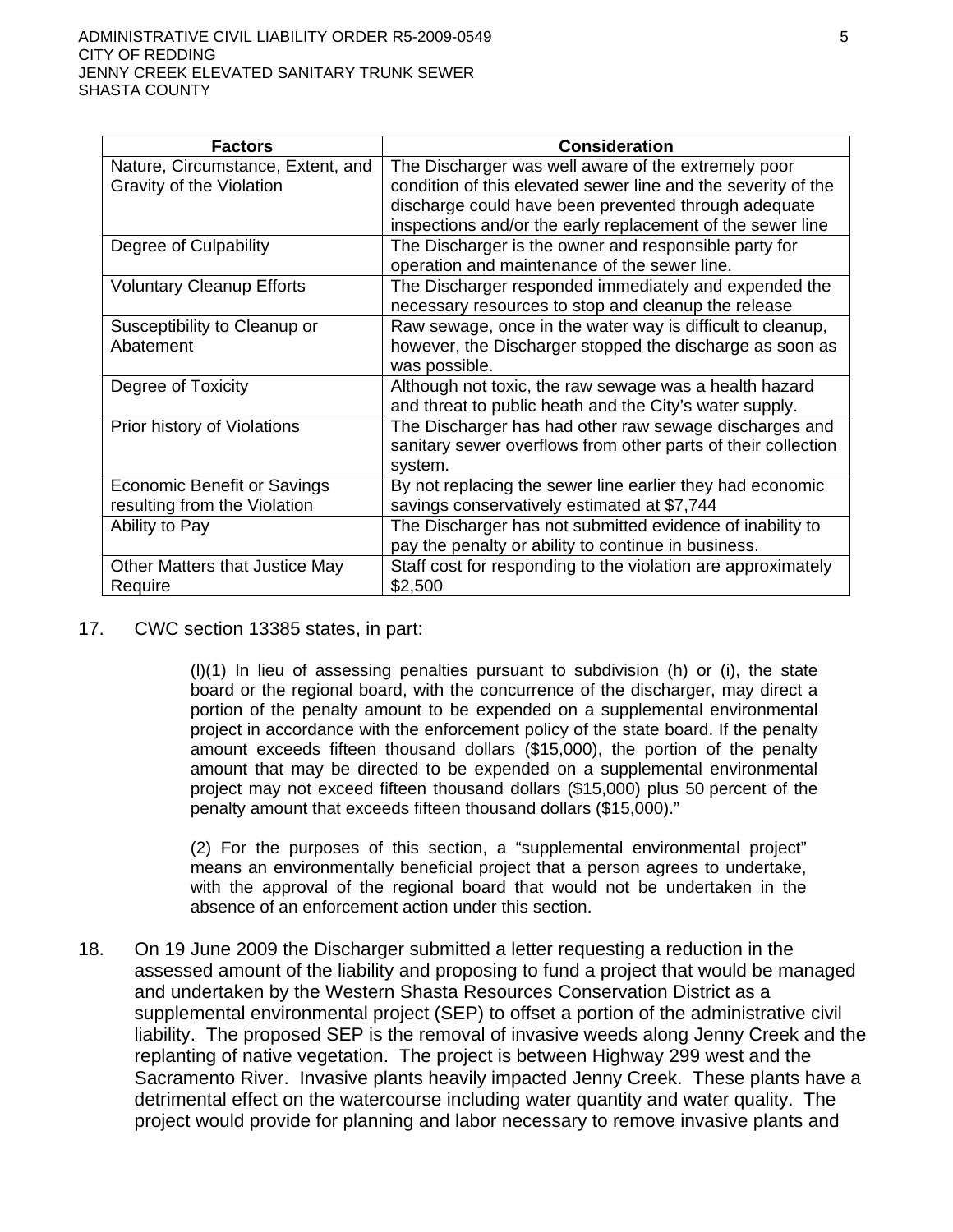| <b>Factors</b>                                                     | <b>Consideration</b>                                                                                                                                                                                                                       |
|--------------------------------------------------------------------|--------------------------------------------------------------------------------------------------------------------------------------------------------------------------------------------------------------------------------------------|
| Nature, Circumstance, Extent, and<br>Gravity of the Violation      | The Discharger was well aware of the extremely poor<br>condition of this elevated sewer line and the severity of the<br>discharge could have been prevented through adequate<br>inspections and/or the early replacement of the sewer line |
| Degree of Culpability                                              | The Discharger is the owner and responsible party for<br>operation and maintenance of the sewer line.                                                                                                                                      |
| <b>Voluntary Cleanup Efforts</b>                                   | The Discharger responded immediately and expended the<br>necessary resources to stop and cleanup the release                                                                                                                               |
| Susceptibility to Cleanup or<br>Abatement                          | Raw sewage, once in the water way is difficult to cleanup,<br>however, the Discharger stopped the discharge as soon as<br>was possible.                                                                                                    |
| Degree of Toxicity                                                 | Although not toxic, the raw sewage was a health hazard<br>and threat to public heath and the City's water supply.                                                                                                                          |
| Prior history of Violations                                        | The Discharger has had other raw sewage discharges and<br>sanitary sewer overflows from other parts of their collection<br>system.                                                                                                         |
| <b>Economic Benefit or Savings</b><br>resulting from the Violation | By not replacing the sewer line earlier they had economic<br>savings conservatively estimated at \$7,744                                                                                                                                   |
| Ability to Pay                                                     | The Discharger has not submitted evidence of inability to<br>pay the penalty or ability to continue in business.                                                                                                                           |
| Other Matters that Justice May<br>Require                          | Staff cost for responding to the violation are approximately<br>\$2,500                                                                                                                                                                    |

17. CWC section 13385 states, in part:

 $(l)(1)$  In lieu of assessing penalties pursuant to subdivision (h) or (i), the state board or the regional board, with the concurrence of the discharger, may direct a portion of the penalty amount to be expended on a supplemental environmental project in accordance with the enforcement policy of the state board. If the penalty amount exceeds fifteen thousand dollars (\$15,000), the portion of the penalty amount that may be directed to be expended on a supplemental environmental project may not exceed fifteen thousand dollars (\$15,000) plus 50 percent of the penalty amount that exceeds fifteen thousand dollars (\$15,000)."

 (2) For the purposes of this section, a "supplemental environmental project" means an environmentally beneficial project that a person agrees to undertake, with the approval of the regional board that would not be undertaken in the absence of an enforcement action under this section.

18. On 19 June 2009 the Discharger submitted a letter requesting a reduction in the assessed amount of the liability and proposing to fund a project that would be managed and undertaken by the Western Shasta Resources Conservation District as a supplemental environmental project (SEP) to offset a portion of the administrative civil liability. The proposed SEP is the removal of invasive weeds along Jenny Creek and the replanting of native vegetation. The project is between Highway 299 west and the Sacramento River. Invasive plants heavily impacted Jenny Creek. These plants have a detrimental effect on the watercourse including water quantity and water quality. The project would provide for planning and labor necessary to remove invasive plants and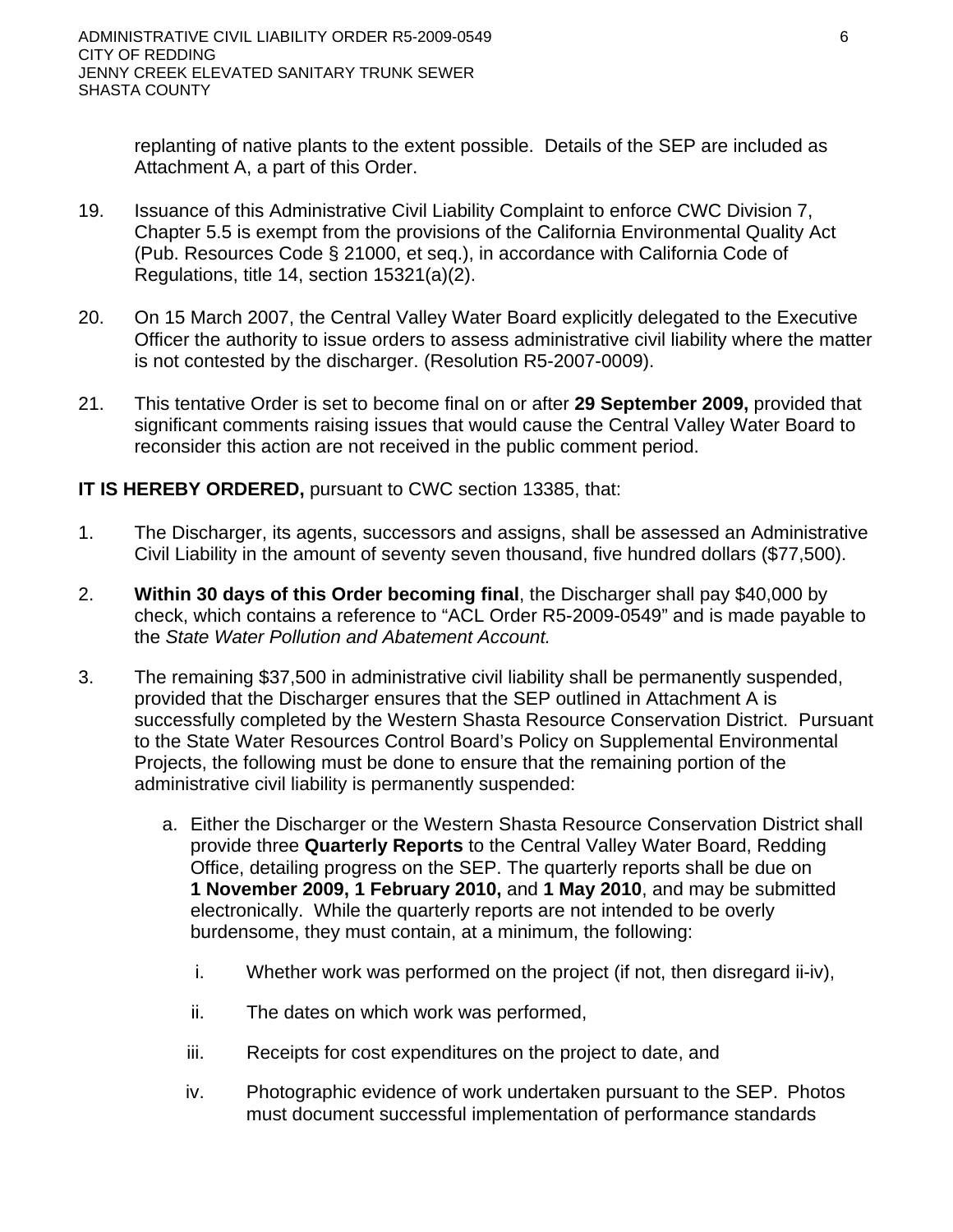replanting of native plants to the extent possible. Details of the SEP are included as Attachment A, a part of this Order.

- 19. Issuance of this Administrative Civil Liability Complaint to enforce CWC Division 7, Chapter 5.5 is exempt from the provisions of the California Environmental Quality Act (Pub. Resources Code § 21000, et seq.), in accordance with California Code of Regulations, title 14, section 15321(a)(2).
- 20. On 15 March 2007, the Central Valley Water Board explicitly delegated to the Executive Officer the authority to issue orders to assess administrative civil liability where the matter is not contested by the discharger. (Resolution R5-2007-0009).
- 21. This tentative Order is set to become final on or after **29 September 2009,** provided that significant comments raising issues that would cause the Central Valley Water Board to reconsider this action are not received in the public comment period.

# **IT IS HEREBY ORDERED,** pursuant to CWC section 13385, that:

- 1. The Discharger, its agents, successors and assigns, shall be assessed an Administrative Civil Liability in the amount of seventy seven thousand, five hundred dollars (\$77,500).
- 2. **Within 30 days of this Order becoming final**, the Discharger shall pay \$40,000 by check, which contains a reference to "ACL Order R5-2009-0549" and is made payable to the *State Water Pollution and Abatement Account.*
- 3. The remaining \$37,500 in administrative civil liability shall be permanently suspended, provided that the Discharger ensures that the SEP outlined in Attachment A is successfully completed by the Western Shasta Resource Conservation District. Pursuant to the State Water Resources Control Board's Policy on Supplemental Environmental Projects, the following must be done to ensure that the remaining portion of the administrative civil liability is permanently suspended:
	- a. Either the Discharger or the Western Shasta Resource Conservation District shall provide three **Quarterly Reports** to the Central Valley Water Board, Redding Office, detailing progress on the SEP. The quarterly reports shall be due on **1 November 2009, 1 February 2010,** and **1 May 2010**, and may be submitted electronically. While the quarterly reports are not intended to be overly burdensome, they must contain, at a minimum, the following:
		- i. Whether work was performed on the project (if not, then disregard ii-iv),
		- ii. The dates on which work was performed,
		- iii. Receipts for cost expenditures on the project to date, and
		- iv. Photographic evidence of work undertaken pursuant to the SEP. Photos must document successful implementation of performance standards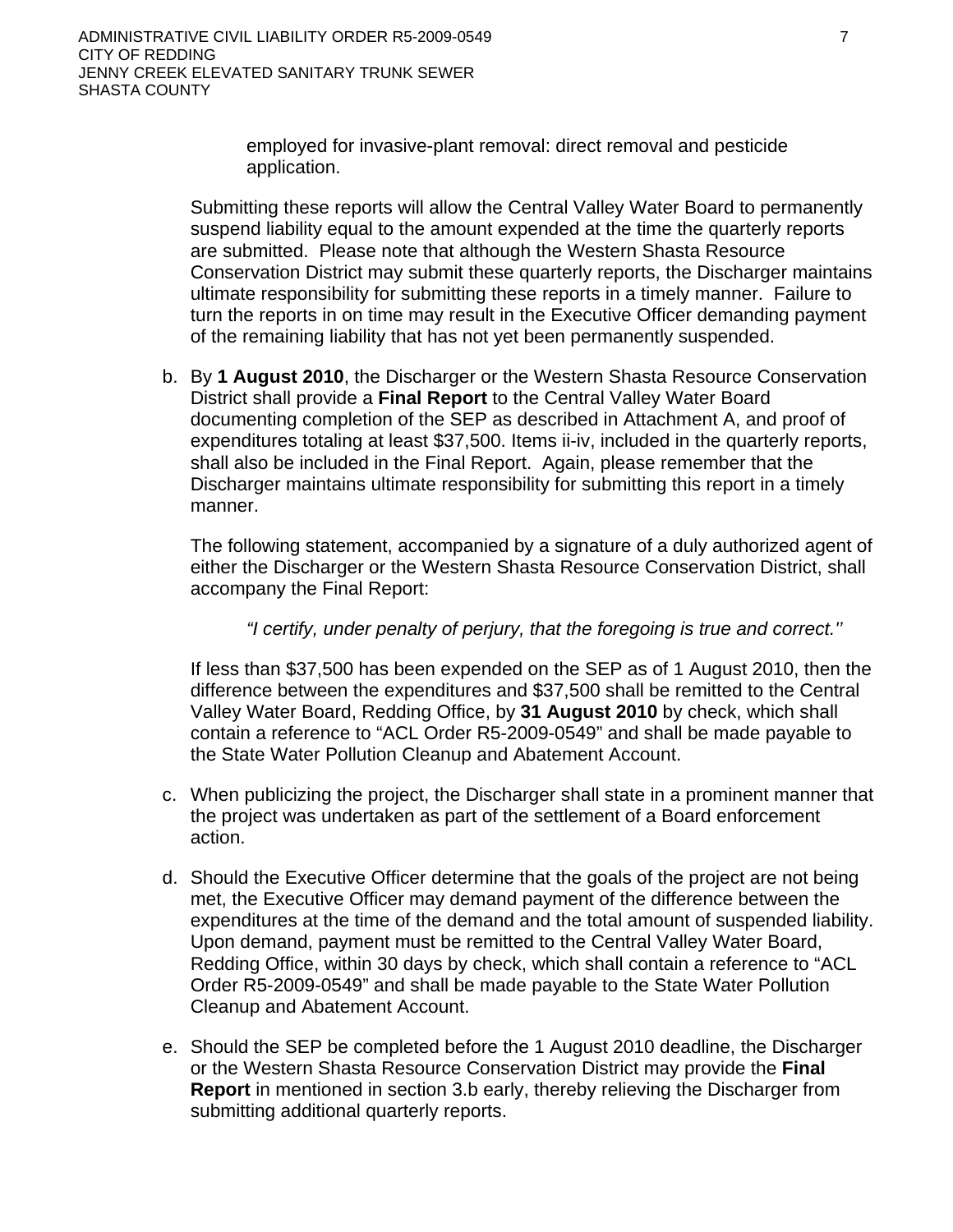employed for invasive-plant removal: direct removal and pesticide application.

Submitting these reports will allow the Central Valley Water Board to permanently suspend liability equal to the amount expended at the time the quarterly reports are submitted. Please note that although the Western Shasta Resource Conservation District may submit these quarterly reports, the Discharger maintains ultimate responsibility for submitting these reports in a timely manner. Failure to turn the reports in on time may result in the Executive Officer demanding payment of the remaining liability that has not yet been permanently suspended.

b. By **1 August 2010**, the Discharger or the Western Shasta Resource Conservation District shall provide a **Final Report** to the Central Valley Water Board documenting completion of the SEP as described in Attachment A, and proof of expenditures totaling at least \$37,500. Items ii-iv, included in the quarterly reports, shall also be included in the Final Report. Again, please remember that the Discharger maintains ultimate responsibility for submitting this report in a timely manner.

The following statement, accompanied by a signature of a duly authorized agent of either the Discharger or the Western Shasta Resource Conservation District, shall accompany the Final Report:

*"I certify, under penalty of perjury, that the foregoing is true and correct.''* 

If less than \$37,500 has been expended on the SEP as of 1 August 2010, then the difference between the expenditures and \$37,500 shall be remitted to the Central Valley Water Board, Redding Office, by **31 August 2010** by check, which shall contain a reference to "ACL Order R5-2009-0549" and shall be made payable to the State Water Pollution Cleanup and Abatement Account.

- c. When publicizing the project, the Discharger shall state in a prominent manner that the project was undertaken as part of the settlement of a Board enforcement action.
- d. Should the Executive Officer determine that the goals of the project are not being met, the Executive Officer may demand payment of the difference between the expenditures at the time of the demand and the total amount of suspended liability. Upon demand, payment must be remitted to the Central Valley Water Board, Redding Office, within 30 days by check, which shall contain a reference to "ACL Order R5-2009-0549" and shall be made payable to the State Water Pollution Cleanup and Abatement Account.
- e. Should the SEP be completed before the 1 August 2010 deadline, the Discharger or the Western Shasta Resource Conservation District may provide the **Final Report** in mentioned in section 3.b early, thereby relieving the Discharger from submitting additional quarterly reports.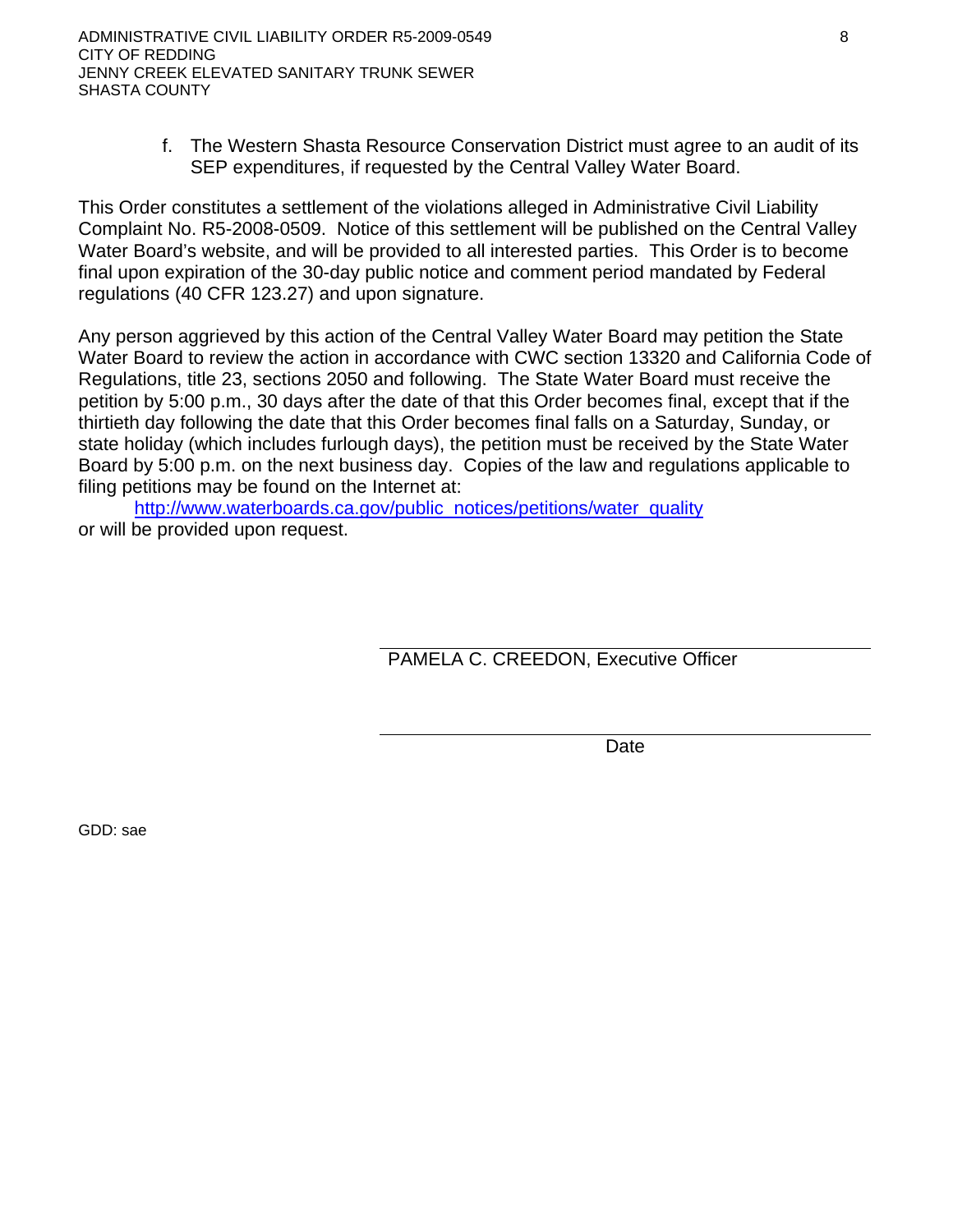f. The Western Shasta Resource Conservation District must agree to an audit of its SEP expenditures, if requested by the Central Valley Water Board.

This Order constitutes a settlement of the violations alleged in Administrative Civil Liability Complaint No. R5-2008-0509. Notice of this settlement will be published on the Central Valley Water Board's website, and will be provided to all interested parties. This Order is to become final upon expiration of the 30-day public notice and comment period mandated by Federal regulations (40 CFR 123.27) and upon signature.

Any person aggrieved by this action of the Central Valley Water Board may petition the State Water Board to review the action in accordance with CWC section 13320 and California Code of Regulations, title 23, sections 2050 and following. The State Water Board must receive the petition by 5:00 p.m., 30 days after the date of that this Order becomes final, except that if the thirtieth day following the date that this Order becomes final falls on a Saturday, Sunday, or state holiday (which includes furlough days), the petition must be received by the State Water Board by 5:00 p.m. on the next business day. Copies of the law and regulations applicable to filing petitions may be found on the Internet at:

http://www.waterboards.ca.gov/public\_notices/petitions/water\_quality or will be provided upon request.

PAMELA C. CREEDON, Executive Officer

Date

GDD: sae